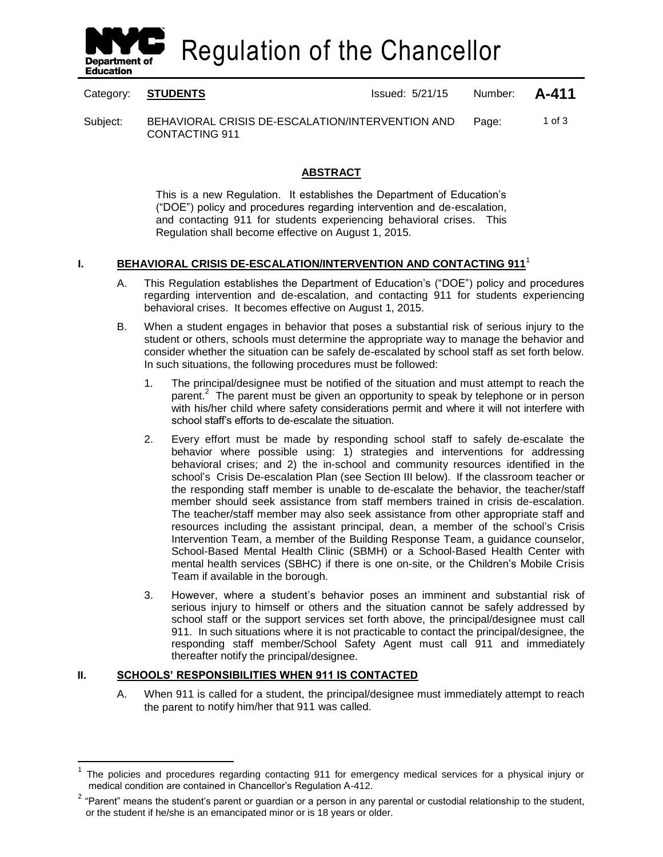

Regulation of the Chancellor

Category: **STUDENTS ISSUE 2018** Issued: 5/21/15 Number: **A-411** 

Subject: BEHAVIORAL CRISIS DE-ESCALATION/INTERVENTION AND CONTACTING 911 Page: 1 of 3

## **ABSTRACT**

This is a new Regulation. It establishes the Department of Education's ("DOE") policy and procedures regarding intervention and de-escalation, and contacting 911 for students experiencing behavioral crises. This Regulation shall become effective on August 1, 2015.

## **I. BEHAVIORAL CRISIS DE-ESCALATION/INTERVENTION AND CONTACTING 911**<sup>1</sup>

- A. This Regulation establishes the Department of Education's ("DOE") policy and procedures regarding intervention and de-escalation, and contacting 911 for students experiencing behavioral crises. It becomes effective on August 1, 2015.
- B. When a student engages in behavior that poses a substantial risk of serious injury to the student or others, schools must determine the appropriate way to manage the behavior and consider whether the situation can be safely de-escalated by school staff as set forth below. In such situations, the following procedures must be followed:
	- 1. The principal/designee must be notified of the situation and must attempt to reach the parent.<sup>2</sup> The parent must be given an opportunity to speak by telephone or in person with his/her child where safety considerations permit and where it will not interfere with school staff's efforts to de-escalate the situation.
	- 2. Every effort must be made by responding school staff to safely de-escalate the behavior where possible using: 1) strategies and interventions for addressing behavioral crises; and 2) the in-school and community resources identified in the school's Crisis De-escalation Plan (see Section III below). If the classroom teacher or the responding staff member is unable to de-escalate the behavior, the teacher/staff member should seek assistance from staff members trained in crisis de-escalation. The teacher/staff member may also seek assistance from other appropriate staff and resources including the assistant principal, dean, a member of the school's Crisis Intervention Team, a member of the Building Response Team, a guidance counselor, School-Based Mental Health Clinic (SBMH) or a School-Based Health Center with mental health services (SBHC) if there is one on-site, or the Children's Mobile Crisis Team if available in the borough.
	- 3. However, where a student's behavior poses an imminent and substantial risk of serious injury to himself or others and the situation cannot be safely addressed by school staff or the support services set forth above, the principal/designee must call 911. In such situations where it is not practicable to contact the principal/designee, the responding staff member/School Safety Agent must call 911 and immediately thereafter notify the principal/designee.

# **II. SCHOOLS' RESPONSIBILITIES WHEN 911 IS CONTACTED**

 $\overline{a}$ 

A. When 911 is called for a student, the principal/designee must immediately attempt to reach the parent to notify him/her that 911 was called.

<sup>1</sup> The policies and procedures regarding contacting 911 for emergency medical services for a physical injury or medical condition are contained in Chancellor's Regulation A-412.

 $2$  "Parent" means the student's parent or guardian or a person in any parental or custodial relationship to the student, or the student if he/she is an emancipated minor or is 18 years or older.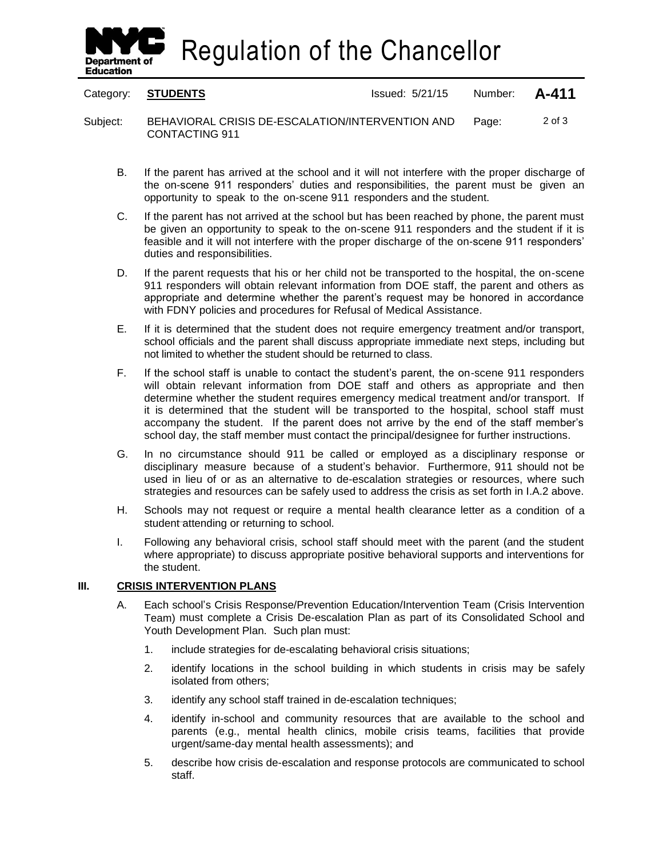Regulation of the Chancellor

**Department of Education** 

Category: **STUDENTS ISSUE 2018** Issued: 5/21/15 Number: **A-411** 

Subject: BEHAVIORAL CRISIS DE-ESCALATION/INTERVENTION AND CONTACTING 911 Page: 2 of 3

- B. If the parent has arrived at the school and it will not interfere with the proper discharge of the on-scene 911 responders' duties and responsibilities, the parent must be given an opportunity to speak to the on-scene 911 responders and the student.
- C. If the parent has not arrived at the school but has been reached by phone, the parent must be given an opportunity to speak to the on-scene 911 responders and the student if it is feasible and it will not interfere with the proper discharge of the on-scene 911 responders' duties and responsibilities.
- D. If the parent requests that his or her child not be transported to the hospital, the on-scene 911 responders will obtain relevant information from DOE staff, the parent and others as appropriate and determine whether the parent's request may be honored in accordance with FDNY policies and procedures for Refusal of Medical Assistance.
- E. If it is determined that the student does not require emergency treatment and/or transport, school officials and the parent shall discuss appropriate immediate next steps, including but not limited to whether the student should be returned to class.
- F. If the school staff is unable to contact the student's parent, the on-scene 911 responders will obtain relevant information from DOE staff and others as appropriate and then determine whether the student requires emergency medical treatment and/or transport. If it is determined that the student will be transported to the hospital, school staff must accompany the student. If the parent does not arrive by the end of the staff member's school day, the staff member must contact the principal/designee for further instructions.
- G. In no circumstance should 911 be called or employed as a disciplinary response or disciplinary measure because of a student's behavior. Furthermore, 911 should not be used in lieu of or as an alternative to de-escalation strategies or resources, where such strategies and resources can be safely used to address the crisis as set forth in I.A.2 above.
- H. Schools may not request or require a mental health clearance letter as a condition of a student attending or returning to school.
- I. Following any behavioral crisis, school staff should meet with the parent (and the student where appropriate) to discuss appropriate positive behavioral supports and interventions for the student.

#### **III. CRISIS INTERVENTION PLANS**

- A. Each school's Crisis Response/Prevention Education/Intervention Team (Crisis Intervention Team) must complete a Crisis De-escalation Plan as part of its Consolidated School and Youth Development Plan. Such plan must:
	- 1. include strategies for de-escalating behavioral crisis situations;
	- 2. identify locations in the school building in which students in crisis may be safely isolated from others;
	- 3. identify any school staff trained in de-escalation techniques;
	- 4. identify in-school and community resources that are available to the school and parents (e.g., mental health clinics, mobile crisis teams, facilities that provide urgent/same-day mental health assessments); and
	- 5. describe how crisis de-escalation and response protocols are communicated to school staff.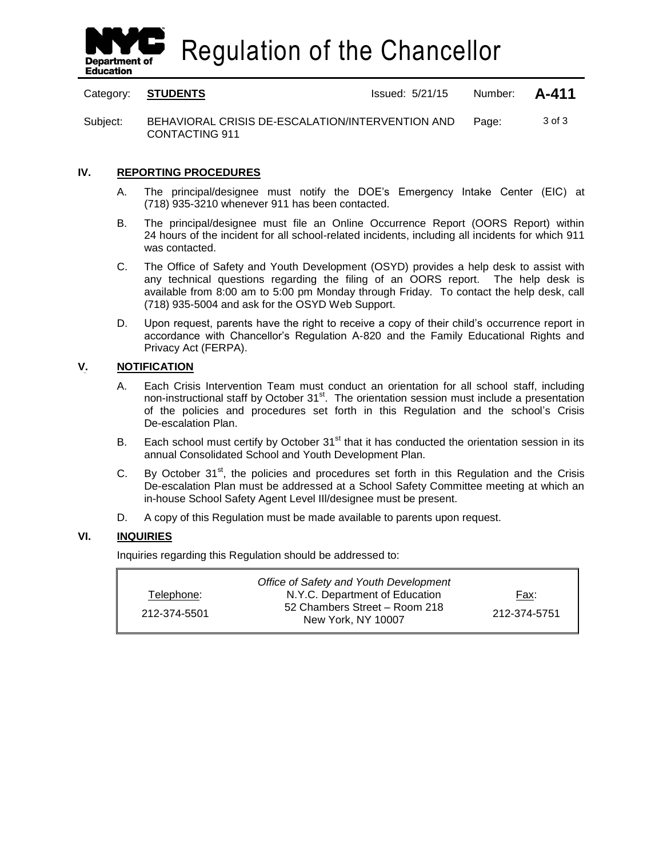

Regulation of the Chancellor

Category: **STUDENTS ISSUE 2018** Issued: 5/21/15 Number: **A-411** 

Subject: BEHAVIORAL CRISIS DE-ESCALATION/INTERVENTION AND CONTACTING 911 Page: 3 of 3

### **IV. REPORTING PROCEDURES**

- A. The principal/designee must notify the DOE's Emergency Intake Center (EIC) at (718) 935-3210 whenever 911 has been contacted.
- B. The principal/designee must file an Online Occurrence Report (OORS Report) within 24 hours of the incident for all school-related incidents, including all incidents for which 911 was contacted.
- C. The Office of Safety and Youth Development (OSYD) provides a help desk to assist with any technical questions regarding the filing of an OORS report. The help desk is available from 8:00 am to 5:00 pm Monday through Friday. To contact the help desk, call (718) 935-5004 and ask for the OSYD Web Support.
- D. Upon request, parents have the right to receive a copy of their child's occurrence report in accordance with Chancellor's Regulation A-820 and the Family Educational Rights and Privacy Act (FERPA).

#### **V. NOTIFICATION**

- A. Each Crisis Intervention Team must conduct an orientation for all school staff, including non-instructional staff by October 31<sup>st</sup>. The orientation session must include a presentation of the policies and procedures set forth in this Regulation and the school's Crisis De-escalation Plan.
- B. Each school must certify by October  $31<sup>st</sup>$  that it has conducted the orientation session in its annual Consolidated School and Youth Development Plan.
- C. By October  $31<sup>st</sup>$ , the policies and procedures set forth in this Regulation and the Crisis De-escalation Plan must be addressed at a School Safety Committee meeting at which an in-house School Safety Agent Level IIl/designee must be present.
- D. A copy of this Regulation must be made available to parents upon request.

### **VI. INQUIRIES**

Inquiries regarding this Regulation should be addressed to:

|              | Office of Safety and Youth Development              |              |
|--------------|-----------------------------------------------------|--------------|
| Telephone:   | N.Y.C. Department of Education                      | Fax:         |
| 212-374-5501 | 52 Chambers Street - Room 218<br>New York, NY 10007 | 212-374-5751 |